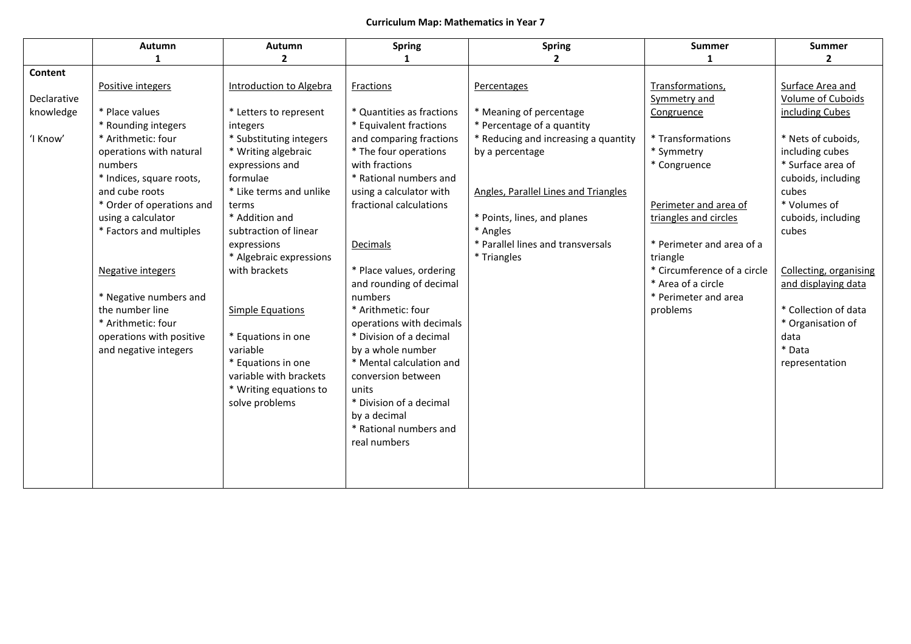## **Curriculum Map: Mathematics in Year 7**

|             | <b>Autumn</b>             | <b>Autumn</b>           | <b>Spring</b>             | <b>Spring</b>                        | <b>Summer</b>               | <b>Summer</b>          |
|-------------|---------------------------|-------------------------|---------------------------|--------------------------------------|-----------------------------|------------------------|
|             | 1                         | $\overline{2}$          | 1                         | $\mathbf{2}$                         | -1                          | $\mathbf{2}$           |
| Content     |                           |                         |                           |                                      |                             |                        |
|             | Positive integers         | Introduction to Algebra | Fractions                 | Percentages                          | Transformations,            | Surface Area and       |
| Declarative |                           |                         |                           |                                      | Symmetry and                | Volume of Cuboids      |
| knowledge   | * Place values            | * Letters to represent  | * Quantities as fractions | * Meaning of percentage              | Congruence                  | including Cubes        |
|             | * Rounding integers       | integers                | * Equivalent fractions    | * Percentage of a quantity           |                             |                        |
| 'I Know'    | * Arithmetic: four        | * Substituting integers | and comparing fractions   | * Reducing and increasing a quantity | * Transformations           | * Nets of cuboids,     |
|             | operations with natural   | * Writing algebraic     | * The four operations     | by a percentage                      | * Symmetry                  | including cubes        |
|             | numbers                   | expressions and         | with fractions            |                                      | * Congruence                | * Surface area of      |
|             | * Indices, square roots,  | formulae                | * Rational numbers and    |                                      |                             | cuboids, including     |
|             | and cube roots            | * Like terms and unlike | using a calculator with   | Angles, Parallel Lines and Triangles |                             | cubes                  |
|             | * Order of operations and | terms                   | fractional calculations   |                                      | Perimeter and area of       | * Volumes of           |
|             | using a calculator        | * Addition and          |                           | * Points, lines, and planes          | triangles and circles       | cuboids, including     |
|             | * Factors and multiples   | subtraction of linear   |                           | * Angles                             |                             | cubes                  |
|             |                           | expressions             | Decimals                  | * Parallel lines and transversals    | * Perimeter and area of a   |                        |
|             |                           | * Algebraic expressions |                           | * Triangles                          | triangle                    |                        |
|             | <b>Negative integers</b>  | with brackets           | * Place values, ordering  |                                      | * Circumference of a circle | Collecting, organising |
|             |                           |                         | and rounding of decimal   |                                      | * Area of a circle          | and displaying data    |
|             | * Negative numbers and    |                         | numbers                   |                                      | * Perimeter and area        |                        |
|             | the number line           | <b>Simple Equations</b> | * Arithmetic: four        |                                      | problems                    | * Collection of data   |
|             | * Arithmetic: four        |                         | operations with decimals  |                                      |                             | * Organisation of      |
|             | operations with positive  | * Equations in one      | * Division of a decimal   |                                      |                             | data                   |
|             | and negative integers     | variable                | by a whole number         |                                      |                             | * Data                 |
|             |                           | * Equations in one      | * Mental calculation and  |                                      |                             | representation         |
|             |                           | variable with brackets  | conversion between        |                                      |                             |                        |
|             |                           | * Writing equations to  | units                     |                                      |                             |                        |
|             |                           | solve problems          | * Division of a decimal   |                                      |                             |                        |
|             |                           |                         | by a decimal              |                                      |                             |                        |
|             |                           |                         | * Rational numbers and    |                                      |                             |                        |
|             |                           |                         | real numbers              |                                      |                             |                        |
|             |                           |                         |                           |                                      |                             |                        |
|             |                           |                         |                           |                                      |                             |                        |
|             |                           |                         |                           |                                      |                             |                        |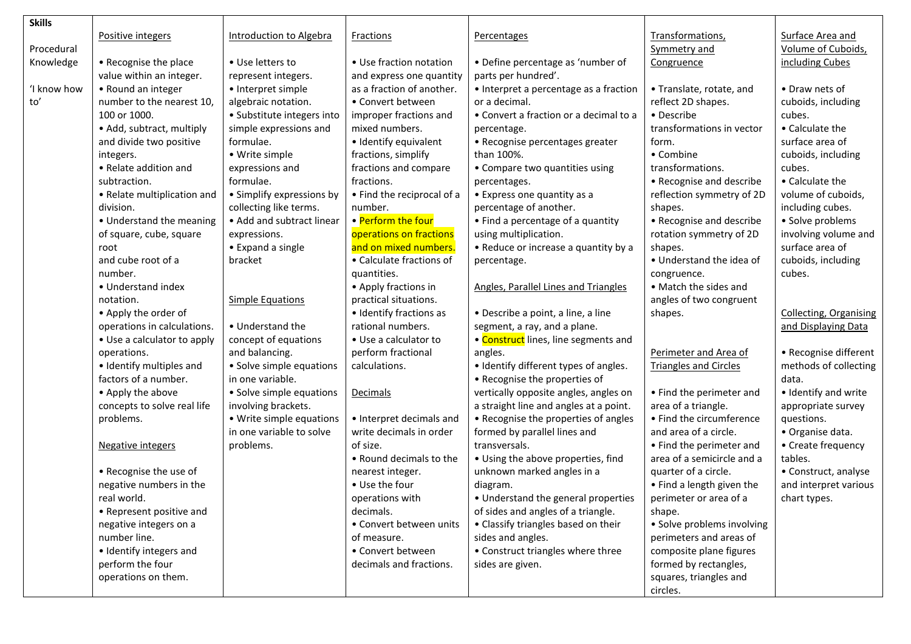| <b>Skills</b> |                             |                                |                            |                                             |                              |                               |
|---------------|-----------------------------|--------------------------------|----------------------------|---------------------------------------------|------------------------------|-------------------------------|
|               | Positive integers           | <b>Introduction to Algebra</b> | Fractions                  | Percentages                                 | Transformations,             | Surface Area and              |
| Procedural    |                             |                                |                            |                                             | Symmetry and                 | Volume of Cuboids,            |
| Knowledge     | • Recognise the place       | • Use letters to               | • Use fraction notation    | • Define percentage as 'number of           | Congruence                   | including Cubes               |
|               | value within an integer.    | represent integers.            | and express one quantity   | parts per hundred'.                         |                              |                               |
| 'I know how   | • Round an integer          | • Interpret simple             | as a fraction of another.  | • Interpret a percentage as a fraction      | • Translate, rotate, and     | • Draw nets of                |
| to'           | number to the nearest 10,   | algebraic notation.            | • Convert between          | or a decimal.                               | reflect 2D shapes.           | cuboids, including            |
|               | 100 or 1000.                | • Substitute integers into     | improper fractions and     | • Convert a fraction or a decimal to a      | • Describe                   | cubes.                        |
|               | • Add, subtract, multiply   | simple expressions and         | mixed numbers.             | percentage.                                 | transformations in vector    | • Calculate the               |
|               | and divide two positive     | formulae.                      | · Identify equivalent      | • Recognise percentages greater             | form.                        | surface area of               |
|               | integers.                   | • Write simple                 | fractions, simplify        | than 100%.                                  | • Combine                    | cuboids, including            |
|               | • Relate addition and       | expressions and                | fractions and compare      | • Compare two quantities using              | transformations.             | cubes.                        |
|               | subtraction.                | formulae.                      | fractions.                 | percentages.                                | • Recognise and describe     | • Calculate the               |
|               | • Relate multiplication and | • Simplify expressions by      | • Find the reciprocal of a | • Express one quantity as a                 | reflection symmetry of 2D    | volume of cuboids,            |
|               | division.                   | collecting like terms.         | number.                    | percentage of another.                      | shapes.                      | including cubes.              |
|               | • Understand the meaning    | • Add and subtract linear      | • Perform the four         | • Find a percentage of a quantity           | • Recognise and describe     | · Solve problems              |
|               | of square, cube, square     | expressions.                   | operations on fractions    | using multiplication.                       | rotation symmetry of 2D      | involving volume and          |
|               | root                        | • Expand a single              | and on mixed numbers.      | • Reduce or increase a quantity by a        | shapes.                      | surface area of               |
|               | and cube root of a          | bracket                        | • Calculate fractions of   | percentage.                                 | • Understand the idea of     | cuboids, including            |
|               | number.                     |                                | quantities.                |                                             | congruence.                  | cubes.                        |
|               | • Understand index          |                                | • Apply fractions in       | <b>Angles, Parallel Lines and Triangles</b> | • Match the sides and        |                               |
|               | notation.                   | <b>Simple Equations</b>        | practical situations.      |                                             | angles of two congruent      |                               |
|               | • Apply the order of        |                                | • Identify fractions as    | • Describe a point, a line, a line          | shapes.                      | <b>Collecting, Organising</b> |
|               | operations in calculations. | • Understand the               | rational numbers.          | segment, a ray, and a plane.                |                              | and Displaying Data           |
|               | • Use a calculator to apply | concept of equations           | • Use a calculator to      | • Construct lines, line segments and        |                              |                               |
|               | operations.                 | and balancing.                 | perform fractional         | angles.                                     | Perimeter and Area of        | • Recognise different         |
|               | • Identify multiples and    | • Solve simple equations       | calculations.              | • Identify different types of angles.       | <b>Triangles and Circles</b> | methods of collecting         |
|               | factors of a number.        | in one variable.               |                            | • Recognise the properties of               |                              | data.                         |
|               | • Apply the above           | • Solve simple equations       | <b>Decimals</b>            | vertically opposite angles, angles on       | • Find the perimeter and     | · Identify and write          |
|               | concepts to solve real life | involving brackets.            |                            | a straight line and angles at a point.      | area of a triangle.          | appropriate survey            |
|               | problems.                   | • Write simple equations       | • Interpret decimals and   | • Recognise the properties of angles        | • Find the circumference     | questions.                    |
|               |                             | in one variable to solve       | write decimals in order    | formed by parallel lines and                | and area of a circle.        | · Organise data.              |
|               | <b>Negative integers</b>    | problems.                      | of size.                   | transversals.                               | • Find the perimeter and     | • Create frequency            |
|               |                             |                                | • Round decimals to the    | • Using the above properties, find          | area of a semicircle and a   | tables.                       |
|               | • Recognise the use of      |                                | nearest integer.           | unknown marked angles in a                  | quarter of a circle.         | • Construct, analyse          |
|               | negative numbers in the     |                                | • Use the four             | diagram.                                    | • Find a length given the    | and interpret various         |
|               | real world.                 |                                | operations with            | • Understand the general properties         | perimeter or area of a       | chart types.                  |
|               | • Represent positive and    |                                | decimals.                  | of sides and angles of a triangle.          | shape.                       |                               |
|               | negative integers on a      |                                | • Convert between units    | • Classify triangles based on their         | · Solve problems involving   |                               |
|               | number line.                |                                | of measure.                | sides and angles.                           | perimeters and areas of      |                               |
|               | • Identify integers and     |                                | • Convert between          | • Construct triangles where three           | composite plane figures      |                               |
|               | perform the four            |                                | decimals and fractions.    | sides are given.                            | formed by rectangles,        |                               |
|               | operations on them.         |                                |                            |                                             | squares, triangles and       |                               |
|               |                             |                                |                            |                                             | circles.                     |                               |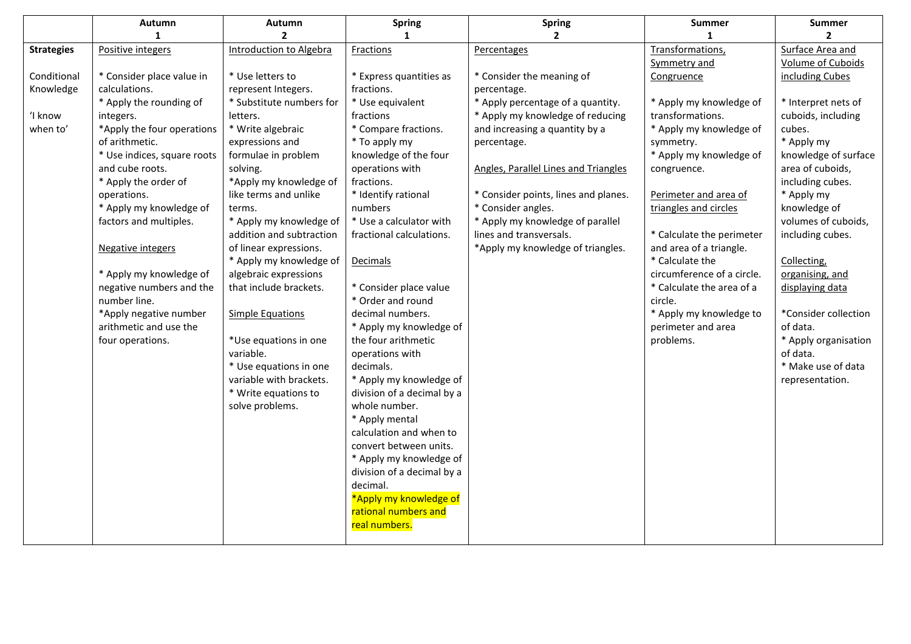|                   | Autumn                      | Autumn                         | <b>Spring</b>              | <b>Spring</b>                        | Summer                     | <b>Summer</b>        |
|-------------------|-----------------------------|--------------------------------|----------------------------|--------------------------------------|----------------------------|----------------------|
|                   | 1                           | $\overline{\phantom{a}}$       | $\mathbf{1}$               | $\mathbf{2}$                         |                            | $\overline{2}$       |
| <b>Strategies</b> | Positive integers           | <b>Introduction to Algebra</b> | Fractions                  | Percentages                          | Transformations,           | Surface Area and     |
|                   |                             |                                |                            |                                      | Symmetry and               | Volume of Cuboids    |
| Conditional       | * Consider place value in   | * Use letters to               | * Express quantities as    | * Consider the meaning of            | Congruence                 | including Cubes      |
| Knowledge         | calculations.               | represent Integers.            | fractions.                 | percentage.                          |                            |                      |
|                   | * Apply the rounding of     | * Substitute numbers for       | * Use equivalent           | * Apply percentage of a quantity.    | * Apply my knowledge of    | * Interpret nets of  |
| 'I know           | integers.                   | letters.                       | fractions                  | * Apply my knowledge of reducing     | transformations.           | cuboids, including   |
| when to'          | *Apply the four operations  | * Write algebraic              | * Compare fractions.       | and increasing a quantity by a       | * Apply my knowledge of    | cubes.               |
|                   | of arithmetic.              | expressions and                | * To apply my              | percentage.                          | symmetry.                  | * Apply my           |
|                   | * Use indices, square roots | formulae in problem            | knowledge of the four      |                                      | * Apply my knowledge of    | knowledge of surface |
|                   | and cube roots.             | solving.                       | operations with            | Angles, Parallel Lines and Triangles | congruence.                | area of cuboids,     |
|                   | * Apply the order of        | *Apply my knowledge of         | fractions.                 |                                      |                            | including cubes.     |
|                   | operations.                 | like terms and unlike          | * Identify rational        | * Consider points, lines and planes. | Perimeter and area of      | * Apply my           |
|                   | * Apply my knowledge of     | terms.                         | numbers                    | * Consider angles.                   | triangles and circles      | knowledge of         |
|                   | factors and multiples.      | * Apply my knowledge of        | * Use a calculator with    | * Apply my knowledge of parallel     |                            | volumes of cuboids,  |
|                   |                             | addition and subtraction       | fractional calculations.   | lines and transversals.              | * Calculate the perimeter  | including cubes.     |
|                   | <b>Negative integers</b>    | of linear expressions.         |                            | *Apply my knowledge of triangles.    | and area of a triangle.    |                      |
|                   |                             | * Apply my knowledge of        | Decimals                   |                                      | * Calculate the            | Collecting,          |
|                   | * Apply my knowledge of     | algebraic expressions          |                            |                                      | circumference of a circle. | organising, and      |
|                   | negative numbers and the    | that include brackets.         | * Consider place value     |                                      | * Calculate the area of a  | displaying data      |
|                   | number line.                |                                | * Order and round          |                                      | circle.                    |                      |
|                   | *Apply negative number      | <b>Simple Equations</b>        | decimal numbers.           |                                      | * Apply my knowledge to    | *Consider collection |
|                   | arithmetic and use the      |                                | * Apply my knowledge of    |                                      | perimeter and area         | of data.             |
|                   | four operations.            | *Use equations in one          | the four arithmetic        |                                      | problems.                  | * Apply organisation |
|                   |                             | variable.                      | operations with            |                                      |                            | of data.             |
|                   |                             | * Use equations in one         | decimals.                  |                                      |                            | * Make use of data   |
|                   |                             | variable with brackets.        | * Apply my knowledge of    |                                      |                            | representation.      |
|                   |                             | * Write equations to           | division of a decimal by a |                                      |                            |                      |
|                   |                             | solve problems.                | whole number.              |                                      |                            |                      |
|                   |                             |                                | * Apply mental             |                                      |                            |                      |
|                   |                             |                                | calculation and when to    |                                      |                            |                      |
|                   |                             |                                | convert between units.     |                                      |                            |                      |
|                   |                             |                                | * Apply my knowledge of    |                                      |                            |                      |
|                   |                             |                                | division of a decimal by a |                                      |                            |                      |
|                   |                             |                                | decimal.                   |                                      |                            |                      |
|                   |                             |                                | *Apply my knowledge of     |                                      |                            |                      |
|                   |                             |                                | rational numbers and       |                                      |                            |                      |
|                   |                             |                                | real numbers.              |                                      |                            |                      |
|                   |                             |                                |                            |                                      |                            |                      |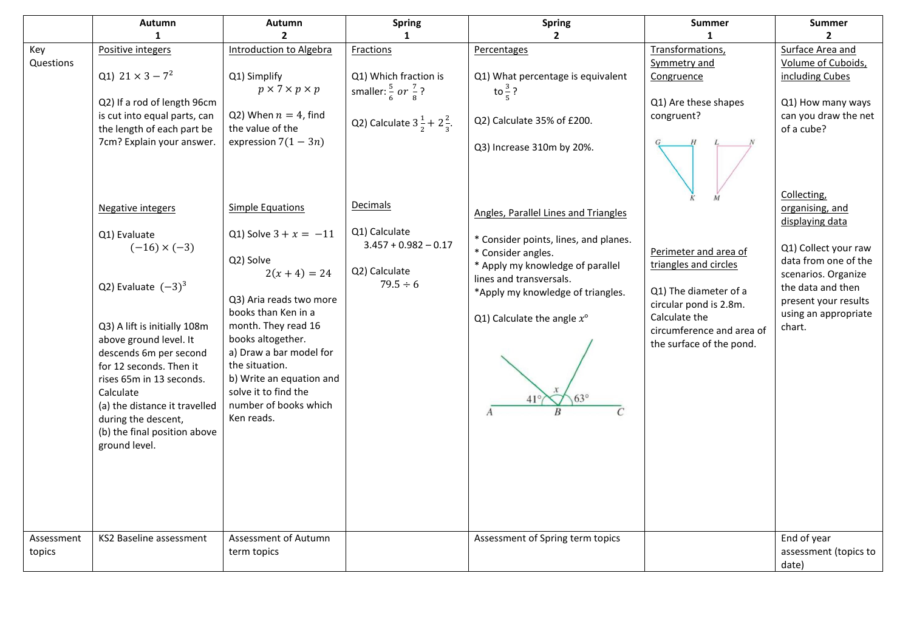|                      | Autumn                                                                                                                                                                                                                                                        | Autumn                                                                                                                                                                                                  | <b>Spring</b>                                            | <b>Spring</b>                                                                                                              | Summer                                                                                           | <b>Summer</b>                                                                          |
|----------------------|---------------------------------------------------------------------------------------------------------------------------------------------------------------------------------------------------------------------------------------------------------------|---------------------------------------------------------------------------------------------------------------------------------------------------------------------------------------------------------|----------------------------------------------------------|----------------------------------------------------------------------------------------------------------------------------|--------------------------------------------------------------------------------------------------|----------------------------------------------------------------------------------------|
|                      | 1                                                                                                                                                                                                                                                             | $\overline{2}$                                                                                                                                                                                          | $\mathbf{1}$                                             | $\mathbf{2}$                                                                                                               | $\mathbf{1}$                                                                                     | $\overline{2}$                                                                         |
| Key                  | Positive integers                                                                                                                                                                                                                                             | <b>Introduction to Algebra</b>                                                                                                                                                                          | Fractions                                                | Percentages                                                                                                                | Transformations,                                                                                 | Surface Area and                                                                       |
| Questions            |                                                                                                                                                                                                                                                               |                                                                                                                                                                                                         |                                                          |                                                                                                                            | Symmetry and                                                                                     | Volume of Cuboids,                                                                     |
|                      | Q1) $21 \times 3 - 7^2$                                                                                                                                                                                                                                       | Q1) Simplify                                                                                                                                                                                            | Q1) Which fraction is                                    | Q1) What percentage is equivalent                                                                                          | Congruence                                                                                       | including Cubes                                                                        |
|                      |                                                                                                                                                                                                                                                               | $p \times 7 \times p \times p$                                                                                                                                                                          | smaller: $\frac{5}{6}$ or $\frac{7}{8}$ ?                | to $\frac{3}{5}$ ?                                                                                                         |                                                                                                  |                                                                                        |
|                      | Q2) If a rod of length 96cm                                                                                                                                                                                                                                   |                                                                                                                                                                                                         |                                                          |                                                                                                                            | Q1) Are these shapes                                                                             | Q1) How many ways                                                                      |
|                      | is cut into equal parts, can                                                                                                                                                                                                                                  | Q2) When $n = 4$ , find                                                                                                                                                                                 | Q2) Calculate $3\frac{1}{2}$ + $2\frac{2}{3}$ .          | Q2) Calculate 35% of £200.                                                                                                 | congruent?                                                                                       | can you draw the net                                                                   |
|                      | the length of each part be                                                                                                                                                                                                                                    | the value of the                                                                                                                                                                                        |                                                          |                                                                                                                            |                                                                                                  | of a cube?                                                                             |
|                      | 7cm? Explain your answer.                                                                                                                                                                                                                                     | expression $7(1-3n)$                                                                                                                                                                                    |                                                          | Q3) Increase 310m by 20%.                                                                                                  |                                                                                                  | Collecting,                                                                            |
|                      | <b>Negative integers</b>                                                                                                                                                                                                                                      | <b>Simple Equations</b>                                                                                                                                                                                 | Decimals                                                 | Angles, Parallel Lines and Triangles                                                                                       |                                                                                                  | organising, and                                                                        |
|                      | Q1) Evaluate<br>$(-16) \times (-3)$                                                                                                                                                                                                                           | Q1) Solve $3 + x = -11$<br>Q2) Solve<br>$2(x + 4) = 24$                                                                                                                                                 | Q1) Calculate<br>$3.457 + 0.982 - 0.17$<br>Q2) Calculate | * Consider points, lines, and planes.<br>* Consider angles.<br>* Apply my knowledge of parallel<br>lines and transversals. | Perimeter and area of<br>triangles and circles                                                   | displaying data<br>Q1) Collect your raw<br>data from one of the<br>scenarios. Organize |
|                      | Q2) Evaluate $(-3)^3$                                                                                                                                                                                                                                         | Q3) Aria reads two more                                                                                                                                                                                 | $79.5 \div 6$                                            | *Apply my knowledge of triangles.                                                                                          | Q1) The diameter of a                                                                            | the data and then                                                                      |
|                      | Q3) A lift is initially 108m<br>above ground level. It<br>descends 6m per second<br>for 12 seconds. Then it<br>rises 65m in 13 seconds.<br>Calculate<br>(a) the distance it travelled<br>during the descent,<br>(b) the final position above<br>ground level. | books than Ken in a<br>month. They read 16<br>books altogether.<br>a) Draw a bar model for<br>the situation.<br>b) Write an equation and<br>solve it to find the<br>number of books which<br>Ken reads. |                                                          | Q1) Calculate the angle $x^{\circ}$<br>$\overline{A}$                                                                      | circular pond is 2.8m.<br>Calculate the<br>circumference and area of<br>the surface of the pond. | present your results<br>using an appropriate<br>chart.                                 |
| Assessment<br>topics | KS2 Baseline assessment                                                                                                                                                                                                                                       | Assessment of Autumn<br>term topics                                                                                                                                                                     |                                                          | Assessment of Spring term topics                                                                                           |                                                                                                  | End of year<br>assessment (topics to<br>date)                                          |